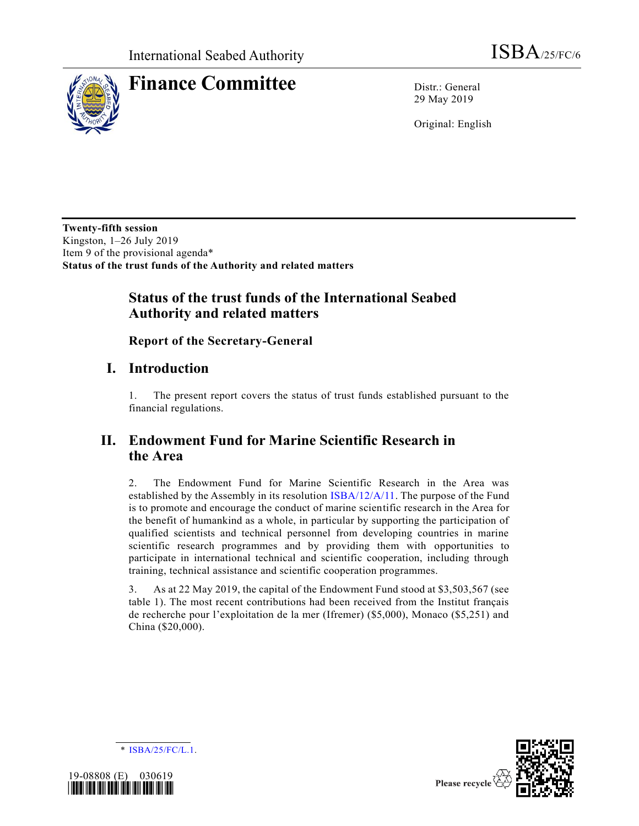

# **Finance Committee** Distr.: General

29 May 2019

Original: English

**Twenty-fifth session** Kingston, 1–26 July 2019 Item 9 of the provisional agenda\* **Status of the trust funds of the Authority and related matters**

# **Status of the trust funds of the International Seabed Authority and related matters**

**Report of the Secretary-General**

# **I. Introduction**

1. The present report covers the status of trust funds established pursuant to the financial regulations.

# **II. Endowment Fund for Marine Scientific Research in the Area**

2. The Endowment Fund for Marine Scientific Research in the Area was established by the Assembly in its resolution [ISBA/12/A/11.](https://undocs.org/en/ISBA/12/A/11) The purpose of the Fund is to promote and encourage the conduct of marine scientific research in the Area for the benefit of humankind as a whole, in particular by supporting the participation of qualified scientists and technical personnel from developing countries in marine scientific research programmes and by providing them with opportunities to participate in international technical and scientific cooperation, including through training, technical assistance and scientific cooperation programmes.

3. As at 22 May 2019, the capital of the Endowment Fund stood at \$3,503,567 (see table 1). The most recent contributions had been received from the Institut français de recherche pour l'exploitation de la mer (Ifremer) (\$5,000), Monaco (\$5,251) and China (\$20,000).

\* [ISBA/25/FC/L.1.](https://undocs.org/en/ISBA/25/FC/L.1)



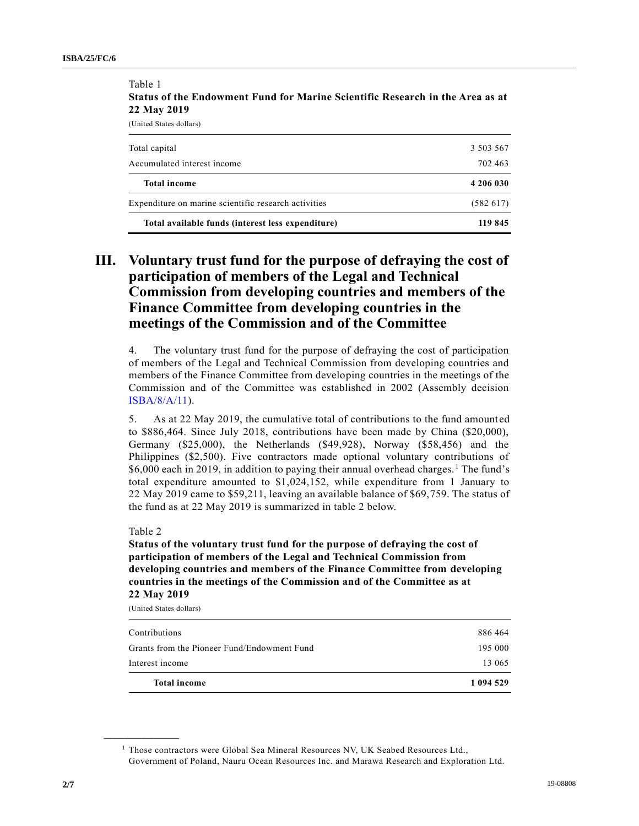Table 1

| Total available funds (interest less expenditure)    | 119 845   |
|------------------------------------------------------|-----------|
| Expenditure on marine scientific research activities | (582617)  |
| <b>Total income</b>                                  | 4 206 030 |
| Accumulated interest income                          | 702 463   |
| Total capital                                        | 3 503 567 |
| (United States dollars)                              |           |

**Status of the Endowment Fund for Marine Scientific Research in the Area as at 22 May 2019**

**III. Voluntary trust fund for the purpose of defraying the cost of participation of members of the Legal and Technical Commission from developing countries and members of the Finance Committee from developing countries in the meetings of the Commission and of the Committee**

4. The voluntary trust fund for the purpose of defraying the cost of participation of members of the Legal and Technical Commission from developing countries and members of the Finance Committee from developing countries in the meetings of the Commission and of the Committee was established in 2002 (Assembly decision [ISBA/8/A/11\)](https://undocs.org/en/ISBA/8/A/11).

5. As at 22 May 2019, the cumulative total of contributions to the fund amounted to \$886,464. Since July 2018, contributions have been made by China (\$20,000), Germany (\$25,000), the Netherlands (\$49,928), Norway (\$58,456) and the Philippines (\$2,500). Five contractors made optional voluntary contributions of \$6,000 each in 2019, in addition to paying their annual overhead charges.<sup>1</sup> The fund's total expenditure amounted to \$1,024,152, while expenditure from 1 January to 22 May 2019 came to \$59,211, leaving an available balance of \$69,759. The status of the fund as at 22 May 2019 is summarized in table 2 below.

#### Table 2

**\_\_\_\_\_\_\_\_\_\_\_\_\_\_\_\_\_\_**

**Status of the voluntary trust fund for the purpose of defraying the cost of participation of members of the Legal and Technical Commission from developing countries and members of the Finance Committee from developing countries in the meetings of the Commission and of the Committee as at 22 May 2019**

(United States dollars)

| <b>Total income</b>                         | 1 094 529 |
|---------------------------------------------|-----------|
| Interest income                             | 13 065    |
| Grants from the Pioneer Fund/Endowment Fund | 195 000   |
| Contributions                               | 886 464   |
|                                             |           |

 $1$  Those contractors were Global Sea Mineral Resources NV, UK Seabed Resources Ltd., Government of Poland, Nauru Ocean Resources Inc. and Marawa Research and Exploration Ltd.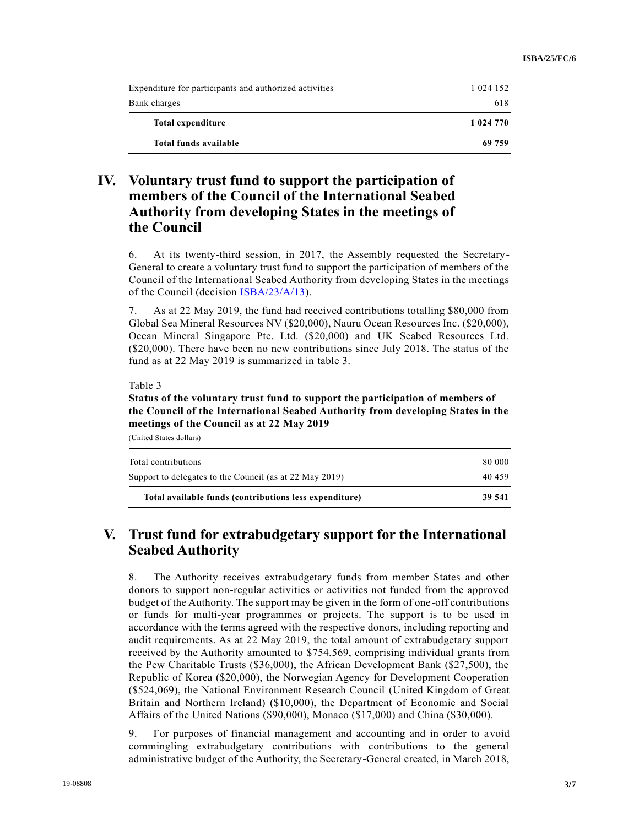| Expenditure for participants and authorized activities | 1 0 24 1 5 2 |
|--------------------------------------------------------|--------------|
| Bank charges                                           | 618          |
| Total expenditure                                      | 1 024 770    |
| Total funds available                                  | 69 759       |

# **IV. Voluntary trust fund to support the participation of members of the Council of the International Seabed Authority from developing States in the meetings of the Council**

6. At its twenty-third session, in 2017, the Assembly requested the Secretary-General to create a voluntary trust fund to support the participation of members of the Council of the International Seabed Authority from developing States in the meetings of the Council (decision [ISBA/23/A/13\)](https://undocs.org/en/ISBA/23/A/13).

7. As at 22 May 2019, the fund had received contributions totalling \$80,000 from Global Sea Mineral Resources NV (\$20,000), Nauru Ocean Resources Inc. (\$20,000), Ocean Mineral Singapore Pte. Ltd. (\$20,000) and UK Seabed Resources Ltd. (\$20,000). There have been no new contributions since July 2018. The status of the fund as at 22 May 2019 is summarized in table 3.

Table 3

### **Status of the voluntary trust fund to support the participation of members of the Council of the International Seabed Authority from developing States in the meetings of the Council as at 22 May 2019**

(United States dollars)

| Total available funds (contributions less expenditure)  | 39 541 |
|---------------------------------------------------------|--------|
| Support to delegates to the Council (as at 22 May 2019) | 40 459 |
| Total contributions                                     | 80 000 |
|                                                         |        |

# **V. Trust fund for extrabudgetary support for the International Seabed Authority**

8. The Authority receives extrabudgetary funds from member States and other donors to support non-regular activities or activities not funded from the approved budget of the Authority. The support may be given in the form of one-off contributions or funds for multi-year programmes or projects. The support is to be used in accordance with the terms agreed with the respective donors, including reporting and audit requirements. As at 22 May 2019, the total amount of extrabudgetary support received by the Authority amounted to \$754,569, comprising individual grants from the Pew Charitable Trusts (\$36,000), the African Development Bank (\$27,500), the Republic of Korea (\$20,000), the Norwegian Agency for Development Cooperation (\$524,069), the National Environment Research Council (United Kingdom of Great Britain and Northern Ireland) (\$10,000), the Department of Economic and Social Affairs of the United Nations (\$90,000), Monaco (\$17,000) and China (\$30,000).

9. For purposes of financial management and accounting and in order to avoid commingling extrabudgetary contributions with contributions to the general administrative budget of the Authority, the Secretary-General created, in March 2018,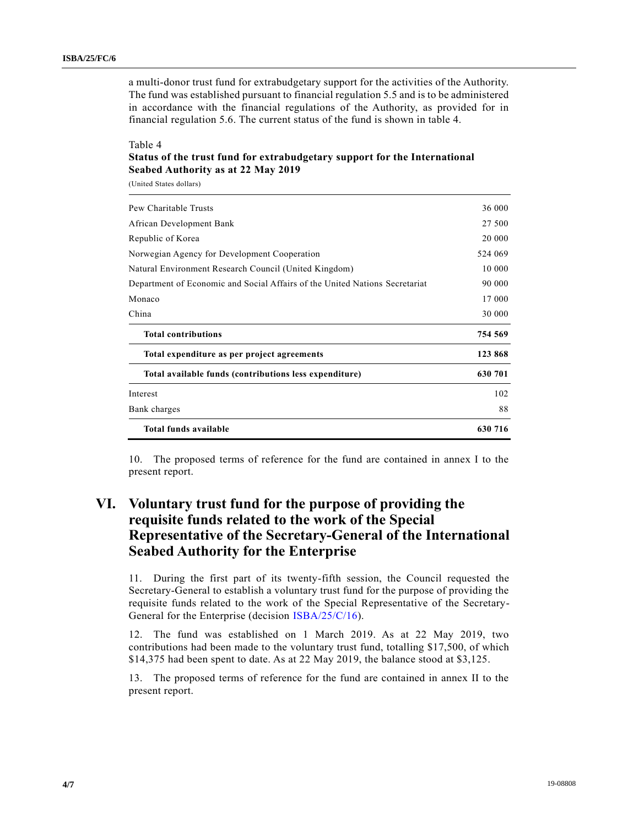a multi-donor trust fund for extrabudgetary support for the activities of the Authority. The fund was established pursuant to financial regulation 5.5 and is to be administered in accordance with the financial regulations of the Authority, as provided for in financial regulation 5.6. The current status of the fund is shown in table 4.

#### Table 4

### **Status of the trust fund for extrabudgetary support for the International Seabed Authority as at 22 May 2019**

(United States dollars)

| <b>Total funds available</b>                                                | 630 716 |
|-----------------------------------------------------------------------------|---------|
| Bank charges                                                                | 88      |
| Interest                                                                    | 102     |
| Total available funds (contributions less expenditure)                      | 630 701 |
| Total expenditure as per project agreements                                 | 123 868 |
| <b>Total contributions</b>                                                  | 754 569 |
| China                                                                       | 30 000  |
| Monaco                                                                      | 17 000  |
| Department of Economic and Social Affairs of the United Nations Secretariat | 90 000  |
| Natural Environment Research Council (United Kingdom)                       | 10 000  |
| Norwegian Agency for Development Cooperation                                | 524 069 |
| Republic of Korea                                                           | 20 000  |
| African Development Bank                                                    | 27 500  |
| Pew Charitable Trusts                                                       | 36 000  |

10. The proposed terms of reference for the fund are contained in annex I to the present report.

# **VI. Voluntary trust fund for the purpose of providing the requisite funds related to the work of the Special Representative of the Secretary-General of the International Seabed Authority for the Enterprise**

11. During the first part of its twenty-fifth session, the Council requested the Secretary-General to establish a voluntary trust fund for the purpose of providing the requisite funds related to the work of the Special Representative of the Secretary-General for the Enterprise (decision [ISBA/25/C/16\)](https://undocs.org/en/ISBA/25/C/16).

12. The fund was established on 1 March 2019. As at 22 May 2019, two contributions had been made to the voluntary trust fund, totalling \$17,500, of which \$14,375 had been spent to date. As at 22 May 2019, the balance stood at \$3,125.

13. The proposed terms of reference for the fund are contained in annex II to the present report.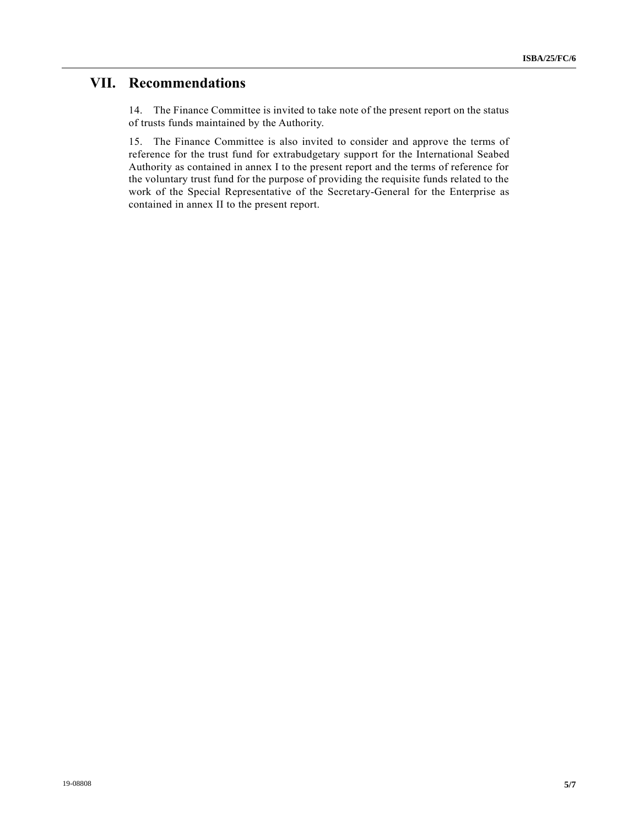# **VII. Recommendations**

14. The Finance Committee is invited to take note of the present report on the status of trusts funds maintained by the Authority.

15. The Finance Committee is also invited to consider and approve the terms of reference for the trust fund for extrabudgetary support for the International Seabed Authority as contained in annex I to the present report and the terms of reference for the voluntary trust fund for the purpose of providing the requisite funds related to the work of the Special Representative of the Secretary-General for the Enterprise as contained in annex II to the present report.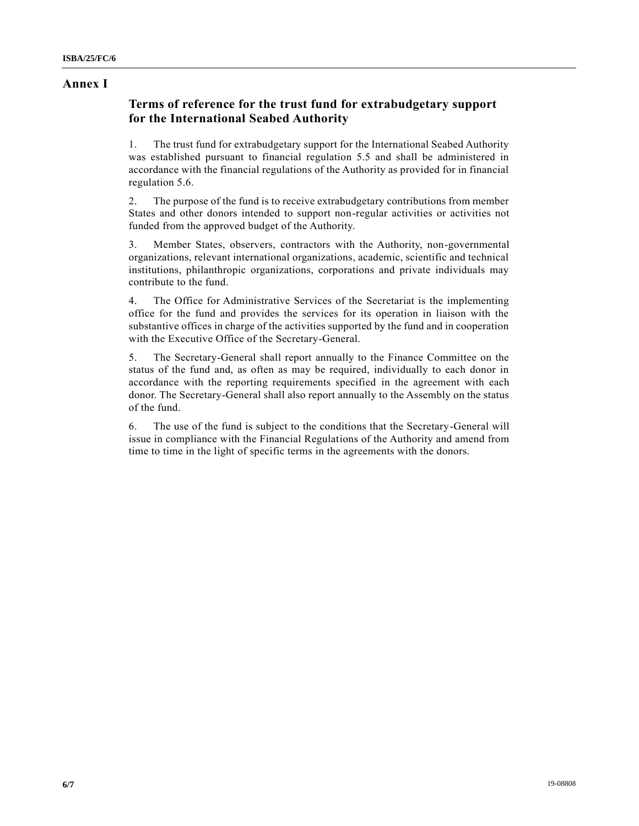### **Annex I**

### **Terms of reference for the trust fund for extrabudgetary support for the International Seabed Authority**

1. The trust fund for extrabudgetary support for the International Seabed Authority was established pursuant to financial regulation 5.5 and shall be administered in accordance with the financial regulations of the Authority as provided for in financial regulation 5.6.

2. The purpose of the fund is to receive extrabudgetary contributions from member States and other donors intended to support non-regular activities or activities not funded from the approved budget of the Authority.

3. Member States, observers, contractors with the Authority, non-governmental organizations, relevant international organizations, academic, scientific and technical institutions, philanthropic organizations, corporations and private individuals may contribute to the fund.

4. The Office for Administrative Services of the Secretariat is the implementing office for the fund and provides the services for its operation in liaison with the substantive offices in charge of the activities supported by the fund and in cooperation with the Executive Office of the Secretary-General.

5. The Secretary-General shall report annually to the Finance Committee on the status of the fund and, as often as may be required, individually to each donor in accordance with the reporting requirements specified in the agreement with each donor. The Secretary-General shall also report annually to the Assembly on the status of the fund.

6. The use of the fund is subject to the conditions that the Secretary-General will issue in compliance with the Financial Regulations of the Authority and amend from time to time in the light of specific terms in the agreements with the donors.